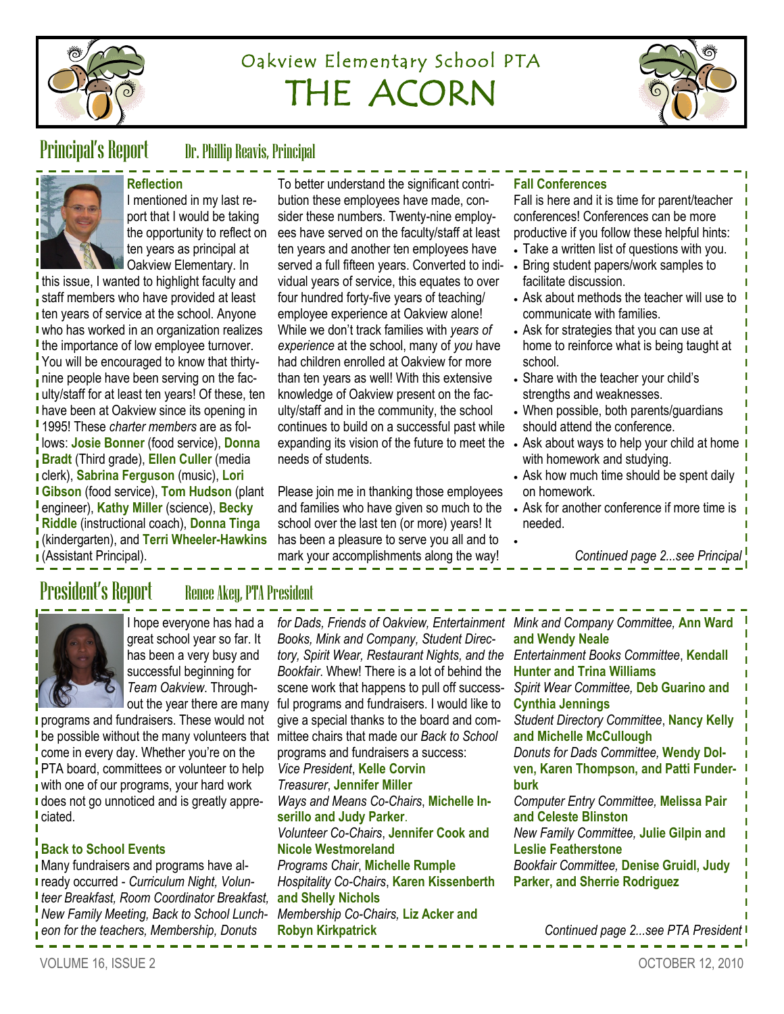

# Oakview Elementary School PTA THE ACORN



Principal's Report Dr. Phillip Reavis, Principal



**Reflection** I mentioned in my last report that I would be taking the opportunity to reflect on ten years as principal at Oakview Elementary. In

this issue, I wanted to highlight faculty and staff members who have provided at least **then years of service at the school. Anyone** I who has worked in an organization realizes If the importance of low employee turnover. You will be encouraged to know that thirtyinine people have been serving on the faculty/staff for at least ten years! Of these, ten **I** have been at Oakview since its opening in 1995! These *charter members* are as follows: **Josie Bonner** (food service), **Donna Bradt** (Third grade), **Ellen Culler** (media clerk), **Sabrina Ferguson** (music), **Lori Gibson** (food service), **Tom Hudson** (plant engineer), **Kathy Miller** (science), **Becky Riddle** (instructional coach), **Donna Tinga**  (kindergarten), and **Terri Wheeler-Hawkins**  (Assistant Principal).

To better understand the significant contribution these employees have made, consider these numbers. Twenty-nine employees have served on the faculty/staff at least ten years and another ten employees have served a full fifteen years. Converted to individual years of service, this equates to over four hundred forty-five years of teaching/ employee experience at Oakview alone! While we don't track families with *years of experience* at the school, many of *you* have had children enrolled at Oakview for more than ten years as well! With this extensive knowledge of Oakview present on the faculty/staff and in the community, the school continues to build on a successful past while expanding its vision of the future to meet the needs of students.

Please join me in thanking those employees and families who have given so much to the school over the last ten (or more) years! It has been a pleasure to serve you all and to mark your accomplishments along the way!

## **Fall Conferences**

 $\bullet$ 

Fall is here and it is time for parent/teacher conferences! Conferences can be more productive if you follow these helpful hints:

- Take a written list of questions with you.
- Bring student papers/work samples to facilitate discussion.
- Ask about methods the teacher will use to communicate with families.
- Ask for strategies that you can use at home to reinforce what is being taught at school.
- Share with the teacher your child's strengths and weaknesses.
- When possible, both parents/guardians should attend the conference.
- Ask about ways to help your child at home with homework and studying.
- Ask how much time should be spent daily on homework.
- Ask for another conference if more time is needed.

*Continued page 2...see Principal*

## President's Report Renee Akey, PTA President



I hope everyone has had a great school year so far. It has been a very busy and successful beginning for *Team Oakview*. Throughout the year there are many

**programs and fundraisers. These would not** be possible without the many volunteers that mittee chairs that made our *Back to School* come in every day. Whether you're on the PTA board, committees or volunteer to help with one of our programs, your hard work I does not go unnoticed and is greatly appreciated.

## **Back to School Events**

Many fundraisers and programs have already occurred - *Curriculum Night, Volunteer Breakfast, Room Coordinator Breakfast, New Family Meeting, Back to School Luncheon for the teachers, Membership, Donuts* 

*for Dads, Friends of Oakview, Entertainment Mink and Company Committee,* **Ann Ward**  *Books, Mink and Company, Student Directory, Spirit Wear, Restaurant Nights, and the Bookfair*. Whew! There is a lot of behind the scene work that happens to pull off successful programs and fundraisers. I would like to give a special thanks to the board and comprograms and fundraisers a success: *Vice President*, **Kelle Corvin** *Treasurer*, **Jennifer Miller** *Ways and Means Co-Chairs*, **Michelle Inserillo and Judy Parker**. *Volunteer Co-Chairs*, **Jennifer Cook and Nicole Westmoreland** *Programs Chair*, **Michelle Rumple** *Hospitality Co-Chairs*, **Karen Kissenberth and Shelly Nichols** *Membership Co-Chairs,* **Liz Acker and Robyn Kirkpatrick**

**and Wendy Neale** *Entertainment Books Committee*, **Kendall Hunter and Trina Williams** *Spirit Wear Committee,* **Deb Guarino and Cynthia Jennings** *Student Directory Committee*, **Nancy Kelly and Michelle McCullough**  *Donuts for Dads Committee,* **Wendy Dolven, Karen Thompson, and Patti Funderburk** *Computer Entry Committee,* **Melissa Pair and Celeste Blinston** *New Family Committee,* **Julie Gilpin and Leslie Featherstone** *Bookfair Committee,* **Denise Gruidl, Judy Parker, and Sherrie Rodriguez** 

VOLUME 16, ISSUE 2 OCTOBER 12, 2010

*Continued page 2...see PTA President*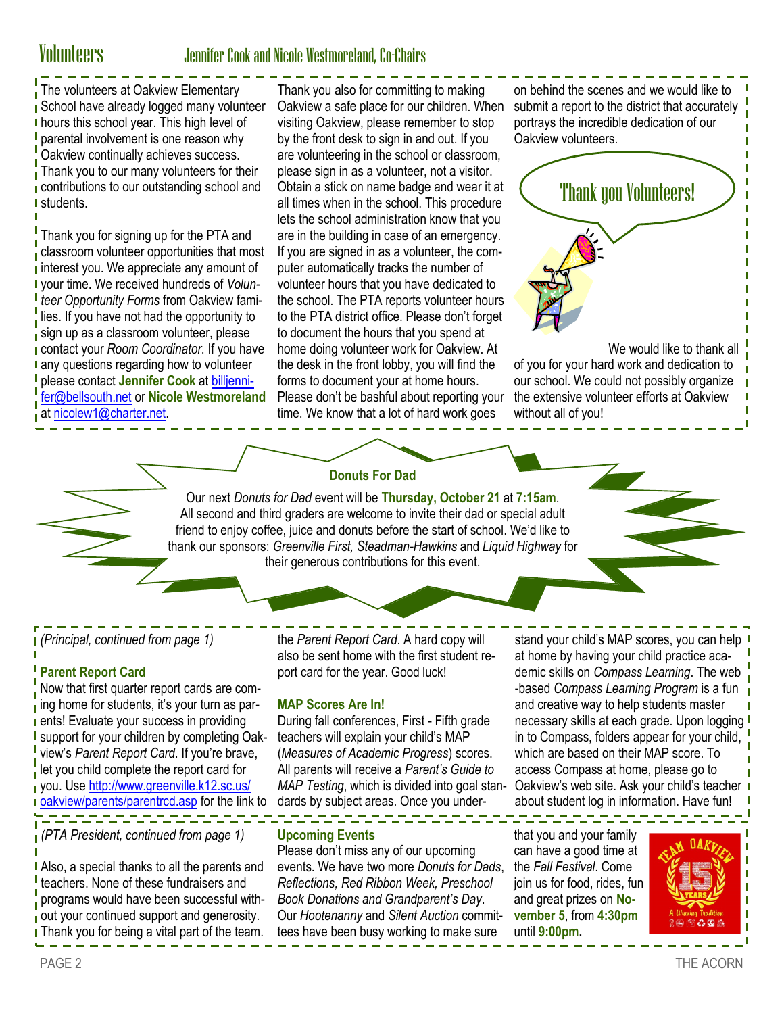## Volunteers Jennifer Cook and Nicole Westmoreland, Co-Chairs

The volunteers at Oakview Elementary School have already logged many volunteer hours this school year. This high level of **parental involvement is one reason why** Oakview continually achieves success. Thank you to our many volunteers for their contributions to our outstanding school and I students.

Thank you for signing up for the PTA and classroom volunteer opportunities that most interest you. We appreciate any amount of your time. We received hundreds of *Volunteer Opportunity Forms* from Oakview families. If you have not had the opportunity to sign up as a classroom volunteer, please contact your *Room Coordinator*. If you have **I** any questions regarding how to volunteer please contact **Jennifer Cook** at [billjenni](mailto:billjennifer@bellsouth.net)[fer@bellsouth.net](mailto:billjennifer@bellsouth.net) or **Nicole Westmoreland**  at [nicolew1@charter.net.](mailto:nicolew1@charter.net)

Thank you also for committing to making Oakview a safe place for our children. When visiting Oakview, please remember to stop by the front desk to sign in and out. If you are volunteering in the school or classroom, please sign in as a volunteer, not a visitor. Obtain a stick on name badge and wear it at all times when in the school. This procedure lets the school administration know that you are in the building in case of an emergency. If you are signed in as a volunteer, the computer automatically tracks the number of volunteer hours that you have dedicated to the school. The PTA reports volunteer hours to the PTA district office. Please don't forget to document the hours that you spend at home doing volunteer work for Oakview. At the desk in the front lobby, you will find the forms to document your at home hours. Please don't be bashful about reporting your time. We know that a lot of hard work goes

on behind the scenes and we would like to submit a report to the district that accurately portrays the incredible dedication of our Oakview volunteers.



We would like to thank all of you for your hard work and dedication to our school. We could not possibly organize the extensive volunteer efforts at Oakview without all of you!

## **Donuts For Dad**

Our next *Donuts for Dad* event will be **Thursday, October 21** at **7:15am**. All second and third graders are welcome to invite their dad or special adult friend to enjoy coffee, juice and donuts before the start of school. We'd like to thank our sponsors: *Greenville First, Steadman-Hawkins* and *Liquid Highway* for their generous contributions for this event.

*(Principal, continued from page 1)*

## **Parent Report Card**

Now that first quarter report cards are com- $\frac{1}{1}$  ing home for students, it's your turn as par**ents!** Evaluate your success in providing **I** support for your children by completing Oakview's *Parent Report Card*. If you're brave, let you child complete the report card for you. Use [http://www.greenville.k12.sc.us/](http://www.greenville.k12.sc.us/oakview/parents/parentrcd.asp) [oakview/parents/parentrcd.asp](http://www.greenville.k12.sc.us/oakview/parents/parentrcd.asp) for the link to

*(PTA President, continued from page 1)*

**Also, a special thanks to all the parents and** teachers. None of these fundraisers and programs would have been successful without your continued support and generosity. **I** Thank you for being a vital part of the team.

the *Parent Report Card*. A hard copy will also be sent home with the first student report card for the year. Good luck!

## **MAP Scores Are In!**

During fall conferences, First - Fifth grade teachers will explain your child's MAP (*Measures of Academic Progress*) scores. All parents will receive a *Parent's Guide to MAP Testing*, which is divided into goal standards by subject areas. Once you under-

### **Upcoming Events**

Please don't miss any of our upcoming events. We have two more *Donuts for Dads*, *Reflections, Red Ribbon Week, Preschool Book Donations and Grandparent's Day*. Our *Hootenanny* and *Silent Auction* committees have been busy working to make sure

stand your child's MAP scores, you can help I at home by having your child practice academic skills on *Compass Learning*. The web -based *Compass Learning Program* is a fun and creative way to help students master necessary skills at each grade. Upon logging I in to Compass, folders appear for your child, which are based on their MAP score. To access Compass at home, please go to Oakview's web site. Ask your child's teacher about student log in information. Have fun!

that you and your family can have a good time at the *Fall Festival*. Come join us for food, rides, fun and great prizes on **November 5**, from **4:30pm**  until **9:00pm.**

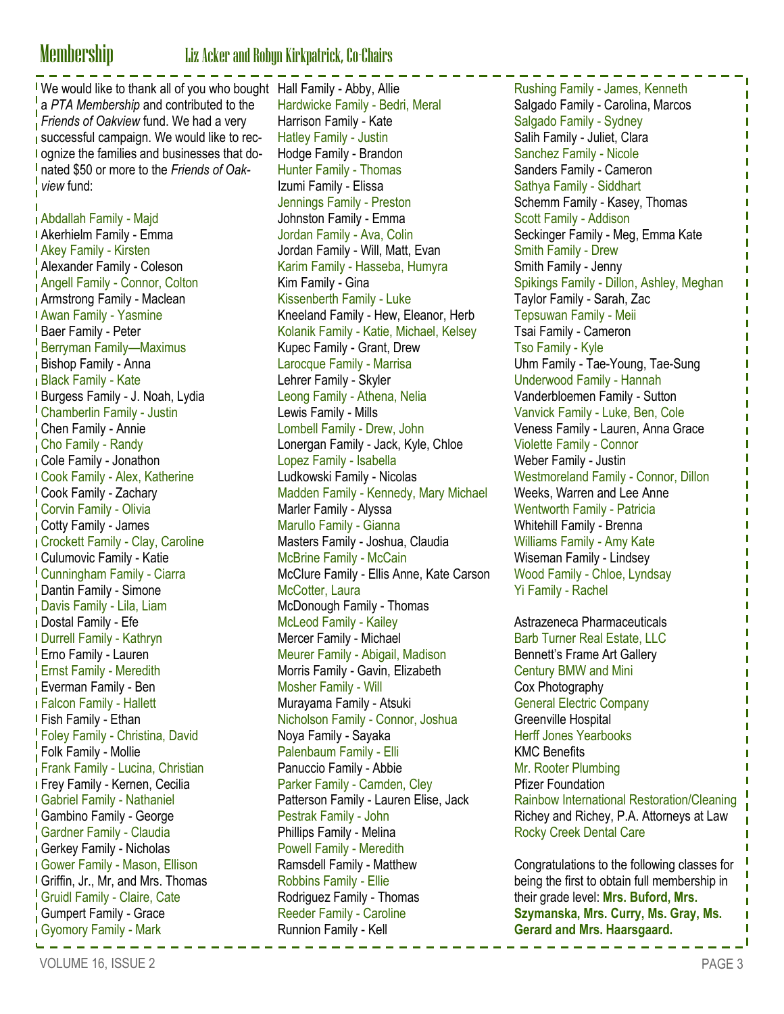# **Membership** Liz Acker and Robyn Kirkpatrick, Co-Chairs<br> $\frac{1}{2}$  =  $\frac{1}{2}$  =  $\frac{1}{2}$  =  $\frac{1}{2}$  =  $\frac{1}{2}$  =  $\frac{1}{2}$  =  $\frac{1}{2}$  =  $\frac{1}{2}$  =  $\frac{1}{2}$  =  $\frac{1}{2}$  =  $\frac{1}{2}$  =  $\frac{1}{2}$  =  $\frac{1}{2}$  =  $\frac{1}{2}$

We would like to thank all of you who bought Hall Family - Abby, Allie a *PTA Membership* and contributed to the *Friends of Oakview* fund. We had a very successful campaign. We would like to rec-**I** ognize the families and businesses that donated \$50 or more to the *Friends of Oakview* fund:

Abdallah Family - Majd Akerhielm Family - Emma Akey Family - Kirsten Alexander Family - Coleson Angell Family - Connor, Colton Armstrong Family - Maclean Awan Family - Yasmine **Baer Family - Peter** Berryman Family—Maximus Bishop Family - Anna Black Family - Kate Burgess Family - J. Noah, Lydia Chamberlin Family - Justin Chen Family - Annie Cho Family - Randy Cole Family - Jonathon Cook Family - Alex, Katherine Cook Family - Zachary Corvin Family - Olivia Cotty Family - James Crockett Family - Clay, Caroline Culumovic Family - Katie Cunningham Family - Ciarra **Dantin Family - Simone** Davis Family - Lila, Liam Dostal Family - Efe Durrell Family - Kathryn Erno Family - Lauren **Ernst Family - Meredith Everman Family - Ben** Falcon Family - Hallett Fish Family - Ethan Foley Family - Christina, David Folk Family - Mollie Frank Family - Lucina, Christian Frey Family - Kernen, Cecilia Gabriel Family - Nathaniel Gambino Family - George Gardner Family - Claudia Gerkey Family - Nicholas Gower Family - Mason, Ellison Griffin, Jr., Mr, and Mrs. Thomas Gruidl Family - Claire, Cate Gumpert Family - Grace Gyomory Family - Mark <u> Lisisisisisisisisisisisi</u>

Hardwicke Family - Bedri, Meral Harrison Family - Kate Hatley Family - Justin Hodge Family - Brandon Hunter Family - Thomas Izumi Family - Elissa Jennings Family - Preston Johnston Family - Emma Jordan Family - Ava, Colin Jordan Family - Will, Matt, Evan Karim Family - Hasseba, Humyra Kim Family - Gina Kissenberth Family - Luke Kneeland Family - Hew, Eleanor, Herb Kolanik Family - Katie, Michael, Kelsey Kupec Family - Grant, Drew Larocque Family - Marrisa Lehrer Family - Skyler Leong Family - Athena, Nelia Lewis Family - Mills Lombell Family - Drew, John Lonergan Family - Jack, Kyle, Chloe Lopez Family - Isabella Ludkowski Family - Nicolas Madden Family - Kennedy, Mary Michael Marler Family - Alyssa Marullo Family - Gianna Masters Family - Joshua, Claudia McBrine Family - McCain McClure Family - Ellis Anne, Kate Carson McCotter, Laura McDonough Family - Thomas McLeod Family - Kailey Mercer Family - Michael Meurer Family - Abigail, Madison Morris Family - Gavin, Elizabeth Mosher Family - Will Murayama Family - Atsuki Nicholson Family - Connor, Joshua Noya Family - Sayaka Palenbaum Family - Elli Panuccio Family - Abbie Parker Family - Camden, Cley Patterson Family - Lauren Elise, Jack Pestrak Family - John Phillips Family - Melina Powell Family - Meredith Ramsdell Family - Matthew Robbins Family - Ellie Rodriguez Family - Thomas Reeder Family - Caroline Runnion Family - Kell

Rushing Family - James, Kenneth Salgado Family - Carolina, Marcos Salgado Family - Sydney Salih Family - Juliet, Clara Sanchez Family - Nicole Sanders Family - Cameron Sathya Family - Siddhart Schemm Family - Kasey, Thomas Scott Family - Addison Seckinger Family - Meg, Emma Kate Smith Family - Drew Smith Family - Jenny Spikings Family - Dillon, Ashley, Meghan Taylor Family - Sarah, Zac Tepsuwan Family - Meii Tsai Family - Cameron Tso Family - Kyle Uhm Family - Tae-Young, Tae-Sung Underwood Family - Hannah Vanderbloemen Family - Sutton Vanvick Family - Luke, Ben, Cole Veness Family - Lauren, Anna Grace Violette Family - Connor Weber Family - Justin Westmoreland Family - Connor, Dillon Weeks, Warren and Lee Anne Wentworth Family - Patricia Whitehill Family - Brenna Williams Family - Amy Kate Wiseman Family - Lindsey Wood Family - Chloe, Lyndsay Yi Family - Rachel

Astrazeneca Pharmaceuticals Barb Turner Real Estate, LLC Bennett's Frame Art Gallery Century BMW and Mini Cox Photography General Electric Company Greenville Hospital Herff Jones Yearbooks KMC Benefits Mr. Rooter Plumbing Pfizer Foundation Rainbow International Restoration/Cleaning Richey and Richey, P.A. Attorneys at Law Rocky Creek Dental Care

Congratulations to the following classes for being the first to obtain full membership in their grade level: **Mrs. Buford, Mrs. Szymanska, Mrs. Curry, Ms. Gray, Ms. Gerard and Mrs. Haarsgaard.**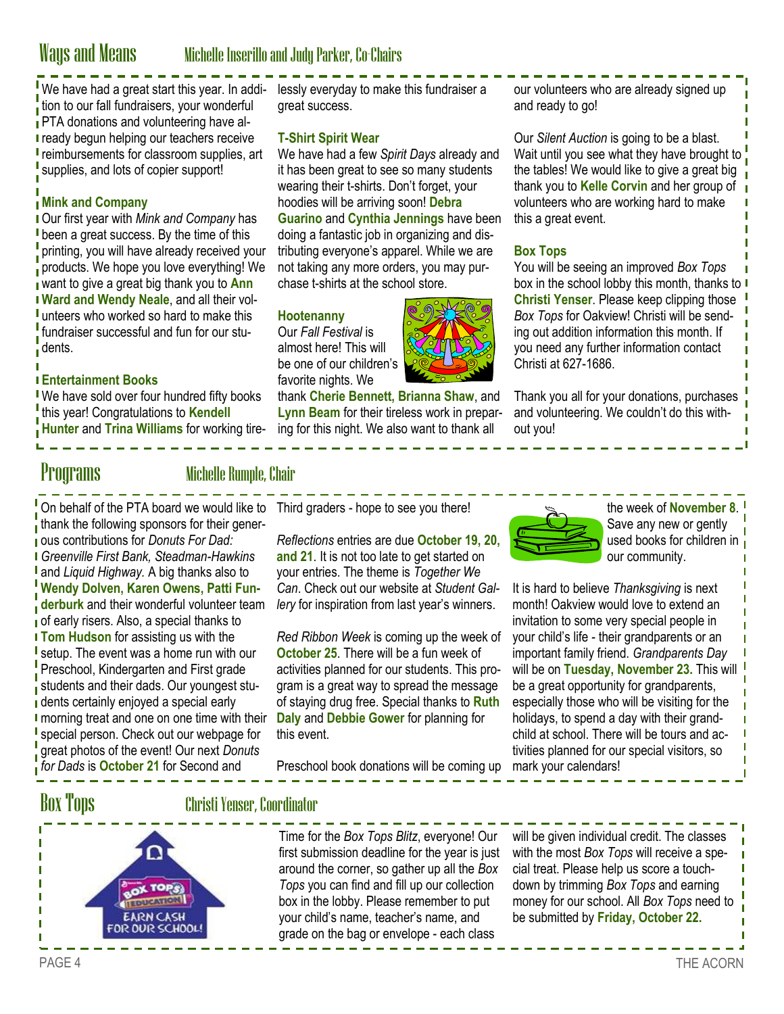## Ways and Means Michelle Inserillo and Judy Parker, Co-Chairs

We have had a great start this year. In addi- lessly everyday to make this fundraiser a tion to our fall fundraisers, your wonderful **PTA donations and volunteering have already begun helping our teachers receive reimbursements for classroom supplies, art** supplies, and lots of copier support!

## **Mink and Company**

Our first year with *Mink and Company* has **I** been a great success. By the time of this printing, you will have already received your products. We hope you love everything! We want to give a great big thank you to **Ann Ward and Wendy Neale**, and all their vol-I unteers who worked so hard to make this fundraiser successful and fun for our students.

## **Entertainment Books**

**Ve have sold over four hundred fifty books** this year! Congratulations to **Kendell Hunter** and **Trina Williams** for working tiregreat success.

### **T-Shirt Spirit Wear**

We have had a few *Spirit Days* already and it has been great to see so many students wearing their t-shirts. Don't forget, your hoodies will be arriving soon! **Debra Guarino** and **Cynthia Jennings** have been doing a fantastic job in organizing and distributing everyone's apparel. While we are not taking any more orders, you may purchase t-shirts at the school store.

### **Hootenanny**

Our *Fall Festival* is almost here! This will be one of our children's favorite nights. We

thank **Cherie Bennett, Brianna Shaw**, and **Lynn Beam** for their tireless work in preparing for this night. We also want to thank all

our volunteers who are already signed up and ready to go!

Our *Silent Auction* is going to be a blast. Wait until you see what they have brought to the tables! We would like to give a great big thank you to **Kelle Corvin** and her group of volunteers who are working hard to make this a great event.

### **Box Tops**

You will be seeing an improved *Box Tops*  box in the school lobby this month, thanks to **Christi Yenser**. Please keep clipping those *Box Tops* for Oakview! Christi will be sending out addition information this month. If you need any further information contact Christi at 627-1686.

Thank you all for your donations, purchases and volunteering. We couldn't do this without you!

## Programs Michelle Rumple, Chair

On behalf of the PTA board we would like to Third graders - hope to see you there! thank the following sponsors for their generous contributions for *Donuts For Dad: Greenville First Bank, Steadman-Hawkins*  and *Liquid Highway.* A big thanks also to **Wendy Dolven, Karen Owens, Patti Funderburk** and their wonderful volunteer team of early risers. Also, a special thanks to **Tom Hudson** for assisting us with the I setup. The event was a home run with our Preschool, Kindergarten and First grade students and their dads. Our youngest students certainly enjoyed a special early I morning treat and one on one time with their **I** special person. Check out our webpage for great photos of the event! Our next *Donuts*  **for Dads is October 21 for Second and** 

*Reflections* entries are due **October 19, 20, and 21**. It is not too late to get started on your entries. The theme is *Together We Can*. Check out our website at *Student Gallery* for inspiration from last year's winners.

*Red Ribbon Week* is coming up the week of **October 25**. There will be a fun week of activities planned for our students. This program is a great way to spread the message of staying drug free. Special thanks to **Ruth Daly** and **Debbie Gower** for planning for this event.

Preschool book donations will be coming up



the week of **November 8**. Save any new or gently used books for children in our community.

It is hard to believe *Thanksgiving* is next month! Oakview would love to extend an invitation to some very special people in your child's life - their grandparents or an important family friend. *Grandparents Day*  will be on **Tuesday, November 23.** This will be a great opportunity for grandparents, especially those who will be visiting for the holidays, to spend a day with their grandchild at school. There will be tours and activities planned for our special visitors, so mark your calendars!

## Box Tops Christi Yenser, Coordinator



Time for the *Box Tops Blitz*, everyone! Our first submission deadline for the year is just around the corner, so gather up all the *Box Tops* you can find and fill up our collection box in the lobby. Please remember to put your child's name, teacher's name, and grade on the bag or envelope - each class

will be given individual credit. The classes with the most *Box Tops* will receive a special treat. Please help us score a touchdown by trimming *Box Tops* and earning money for our school. All *Box Tops* need to be submitted by **Friday, October 22.**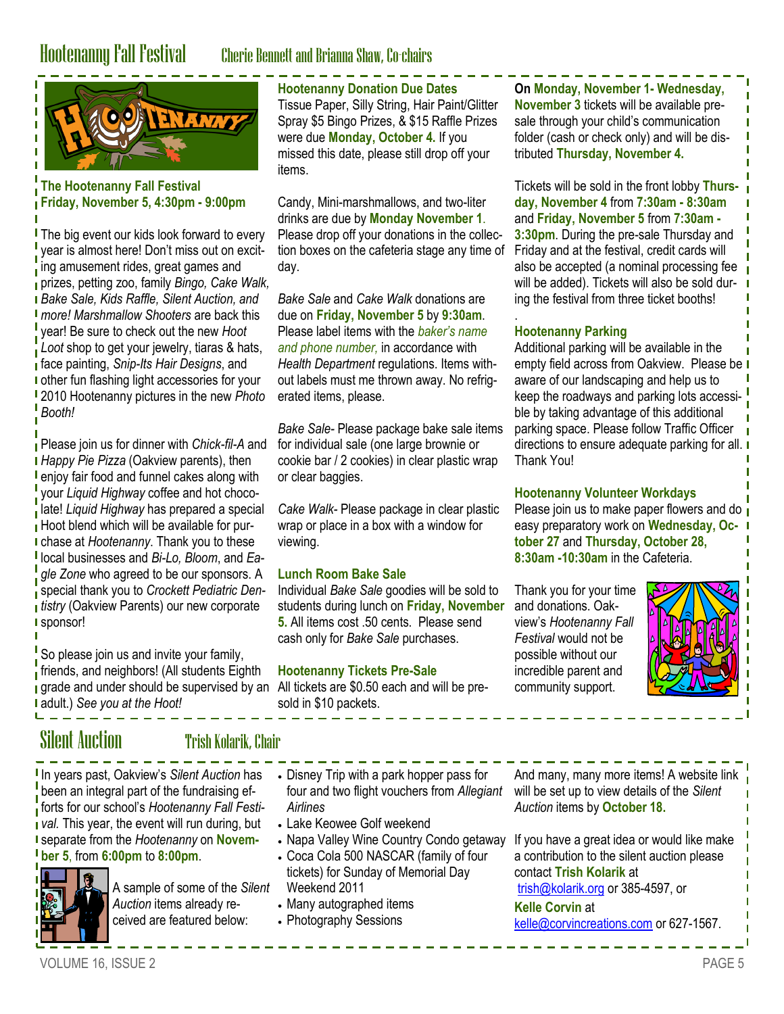## Hootenanny Fall Festival Cherie Bennett and Brianna Shaw, Co-chairs



**The Hootenanny Fall Festival Friday, November 5, 4:30pm - 9:00pm**

**The big event our kids look forward to every** year is almost here! Don't miss out on exciting amusement rides, great games and prizes, petting zoo, family *Bingo, Cake Walk, Bake Sale, Kids Raffle, Silent Auction, and more! Marshmallow Shooters* are back this year! Be sure to check out the new *Hoot*  **Loot** shop to get your jewelry, tiaras & hats, face painting, *Snip-Its Hair Designs*, and I other fun flashing light accessories for your 2010 Hootenanny pictures in the new *Photo Booth!*

Please join us for dinner with *Chick-fil-A* and *Happy Pie Pizza* (Oakview parents), then **l** enjoy fair food and funnel cakes along with your *Liquid Highway* coffee and hot chocolate! *Liquid Highway* has prepared a special Hoot blend which will be available for purchase at *Hootenanny*. Thank you to these local businesses and *Bi-Lo, Bloom*, and *Eagle Zone* who agreed to be our sponsors. A special thank you to *Crockett Pediatric Den***tistry** (Oakview Parents) our new corporate sponsor!

So please join us and invite your family, friends, and neighbors! (All students Eighth grade and under should be supervised by an All tickets are \$0.50 each and will be preadult.) *See you at the Hoot!*

## **Hootenanny Donation Due Dates**

Tissue Paper, Silly String, Hair Paint/Glitter Spray \$5 Bingo Prizes, & \$15 Raffle Prizes were due **Monday, October 4.** If you missed this date, please still drop off your items.

Candy, Mini-marshmallows, and two-liter drinks are due by **Monday November 1**. Please drop off your donations in the collection boxes on the cafeteria stage any time of day.

*Bake Sale* and *Cake Walk* donations are due on **Friday, November 5** by **9:30am**. Please label items with the *baker's name and phone number,* in accordance with *Health Department* regulations. Items without labels must me thrown away. No refrigerated items, please.

*Bake Sale-* Please package bake sale items for individual sale (one large brownie or cookie bar / 2 cookies) in clear plastic wrap or clear baggies.

*Cake Walk-* Please package in clear plastic wrap or place in a box with a window for viewing.

### **Lunch Room Bake Sale**

Individual *Bake Sale* goodies will be sold to students during lunch on **Friday, November 5.** All items cost .50 cents. Please send cash only for *Bake Sale* purchases.

## **Hootenanny Tickets Pre-Sale**

sold in \$10 packets.

**On Monday, November 1- Wednesday, November 3** tickets will be available presale through your child's communication folder (cash or check only) and will be distributed **Thursday, November 4.** 

Tickets will be sold in the front lobby **Thursday, November 4** from **7:30am - 8:30am** and **Friday, November 5** from **7:30am - 3:30pm**. During the pre-sale Thursday and Friday and at the festival, credit cards will also be accepted (a nominal processing fee will be added). Tickets will also be sold during the festival from three ticket booths!

### . **Hootenanny Parking**

Additional parking will be available in the empty field across from Oakview. Please be I aware of our landscaping and help us to keep the roadways and parking lots accessible by taking advantage of this additional parking space. Please follow Traffic Officer directions to ensure adequate parking for all. Thank You!

## **Hootenanny Volunteer Workdays**

Please join us to make paper flowers and do  $\overline{\phantom{a}}$ easy preparatory work on **Wednesday, October 27** and **Thursday, October 28, 8:30am -10:30am** in the Cafeteria.

Thank you for your time and donations. Oakview's *Hootenanny Fall Festival* would not be possible without our incredible parent and community support.



## Silent Auction **The Trish Kolarik, Chair**

In years past, Oakview's *Silent Auction* has been an integral part of the fundraising efforts for our school's *Hootenanny Fall Festival.* This year, the event will run during, but separate from the *Hootenanny* on **November 5**, from **6:00pm** to **8:00pm**.



A sample of some of the *Silent Auction* items already received are featured below:

- Disney Trip with a park hopper pass for four and two flight vouchers from *Allegiant Airlines*
- Lake Keowee Golf weekend
- Napa Valley Wine Country Condo getaway
- Coca Cola 500 NASCAR (family of four tickets) for Sunday of Memorial Day Weekend 2011
- Many autographed items
- Photography Sessions

And many, many more items! A website link will be set up to view details of the *Silent Auction* items by **October 18.**

If you have a great idea or would like make a contribution to the silent auction please contact **Trish Kolarik** at [trish@kolarik.org](mailto:trish@kolarik.org) or 385-4597, or **Kelle Corvin** at

[kelle@corvincreations.com](mailto:kelle@corvincreations.com)</u> or 627-1567.

Ï П Ī

Ï Ī Ï Ī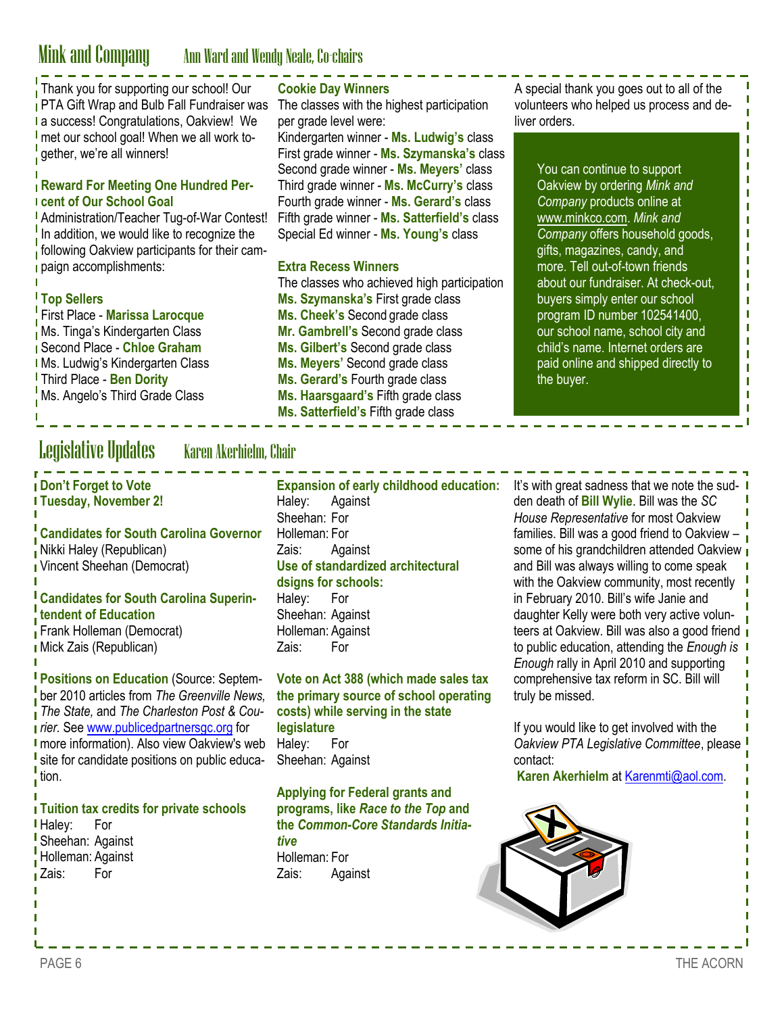## Mink and Company Ann Ward and Wendy Neale, Co-chairs

Thank you for supporting our school! Our PTA Gift Wrap and Bulb Fall Fundraiser was The classes with the highest participation a success! Congratulations, Oakview! We met our school goal! When we all work together, we're all winners!

## **Reward For Meeting One Hundred Percent of Our School Goal**

Administration/Teacher Tug-of-War Contest! In addition, we would like to recognize the following Oakview participants for their campaign accomplishments:

## **Top Sellers**

L

First Place - **Marissa Larocque** Ms. Tinga's Kindergarten Class Second Place - **Chloe Graham I Ms. Ludwig's Kindergarten Class** Third Place - **Ben Dority Ms. Angelo's Third Grade Class** 

## **Cookie Day Winners**

per grade level were:

Kindergarten winner - **Ms. Ludwig's** class First grade winner - **Ms. Szymanska's** class Second grade winner - **Ms. Meyers'** class Third grade winner - **Ms. McCurry's** class Fourth grade winner - **Ms. Gerard's** class Fifth grade winner - **Ms. Satterfield's** class Special Ed winner - **Ms. Young's** class

### **Extra Recess Winners**

The classes who achieved high participation **Ms. Szymanska's** First grade class **Ms. Cheek's** Second grade class **Mr. Gambrell's** Second grade class **Ms. Gilbert's** Second grade class **Ms. Meyers'** Second grade class **Ms. Gerard's** Fourth grade class **Ms. Haarsgaard's** Fifth grade class **Ms. Satterfield's** Fifth grade class

A special thank you goes out to all of the volunteers who helped us process and deliver orders.

> $\blacksquare$  $\mathbf{I}$  $\mathbf{I}$  $\mathbf{I}$ Ī Ī  $\blacksquare$ Ī Ī Ï  $\mathbf{I}$  $\mathbf{I}$  $\mathbf{I}$  $\mathbf{I}$  $\mathbf{I}$  $\blacksquare$  $\mathbf I$  $\mathbf{I}$  $\mathbf I$  $\mathbf I$

You can continue to support Oakview by ordering *Mink and Company* products online at www.minkco.com. *Mink and Company* offers household goods, gifts, magazines, candy, and more. Tell out-of-town friends about our fundraiser. At check-out, buyers simply enter our school program ID number 102541400, our school name, school city and child's name. Internet orders are paid online and shipped directly to the buyer.

## Legislative Updates Karen Akerhielm, Chair

**Don't Forget to Vote Tuesday, November 2!**

**Candidates for South Carolina Governor** Nikki Haley (Republican) Vincent Sheehan (Democrat)

## **Candidates for South Carolina Superintendent of Education**

Frank Holleman (Democrat) Mick Zais (Republican)

**Positions on Education (Source: Septem**ber 2010 articles from *The Greenville News, The State,* and *The Charleston Post & Courier.* See [www.publicedpartnersgc.org](http://www.publicedpartnersgc.org) for **I** more information). Also view Oakview's web site for candidate positions on public education.

## **Tuition tax credits for private schools**

**Haley:** For Sheehan: Against Holleman: Against Zais: For

Haley: Against Sheehan: For Holleman: For Zais: Against **Use of standardized architectural dsigns for schools:** Haley: For Sheehan: Against

Holleman: Against Zais: For

**Vote on Act 388 (which made sales tax the primary source of school operating costs) while serving in the state legislature** Haley: For Sheehan: Against

**Applying for Federal grants and programs, like** *Race to the Top* **and the** *Common-Core Standards Initiative* Holleman: For Zais: Against

**Expansion of early childhood education:** It's with great sadness that we note the sudden death of **Bill Wylie**. Bill was the *SC House Representative* for most Oakview families. Bill was a good friend to Oakview – some of his grandchildren attended Oakview and Bill was always willing to come speak with the Oakview community, most recently in February 2010. Bill's wife Janie and daughter Kelly were both very active volunteers at Oakview. Bill was also a good friend to public education, attending the *Enough is Enough* rally in April 2010 and supporting comprehensive tax reform in SC. Bill will truly be missed.

> If you would like to get involved with the *Oakview PTA Legislative Committee*, please contact:

**Karen Akerhielm** at Karenmti@aol.com.

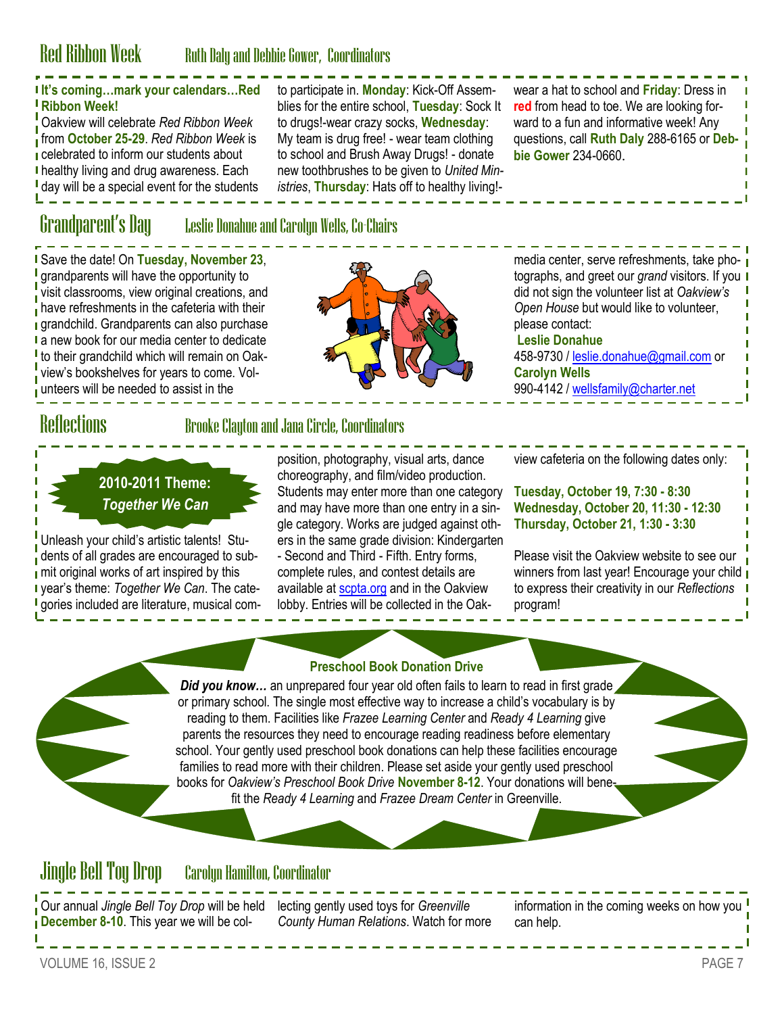## Red Ribbon Week Ruth Daly and Debbie Gower, Coordinators

## **It's coming…mark your calendars…Red Ribbon Week!**

Oakview will celebrate *Red Ribbon Week*  from **October 25-29**. *Red Ribbon Week* is celebrated to inform our students about **I** healthy living and drug awareness. Each I day will be a special event for the students

to drugs!-wear crazy socks, **Wednesday**: My team is drug free! - wear team clothing to school and Brush Away Drugs! - donate new toothbrushes to be given to *United Ministries*, **Thursday**: Hats off to healthy living!-

## Grandparent's Day Leslie Donahue and Carolyn Wells, Co-Chairs

Save the date! On **Tuesday, November 23**, grandparents will have the opportunity to visit classrooms, view original creations, and have refreshments in the cafeteria with their **grandchild.** Grandparents can also purchase I a new book for our media center to dedicate <sup>I</sup> to their grandchild which will remain on Oakview's bookshelves for years to come. Volunteers will be needed to assist in the



to participate in. **Monday**: Kick-Off Assemblies for the entire school, **Tuesday**: Sock It

> ward to a fun and informative week! Any questions, call **Ruth Daly** 288-6165 or **Debbie Gower** 234-0660.

wear a hat to school and **Friday**: Dress in **red** from head to toe. We are looking for-

media center, serve refreshments, take photographs, and greet our *grand* visitors. If you did not sign the volunteer list at *Oakview's Open House* but would like to volunteer, please contact: **Leslie Donahue**  458-9730 / [leslie.donahue@gmail.com](mailto:leslie.donahue@gmail.com) or **Carolyn Wells** 990-4142 / [wellsfamily@charter.net](mailto:wellsfamily@charter.net)

## Reflections Brooke Clayton and Jana Circle, Coordinators

**2010-2011 Theme:**  *Together We Can*

Unleash your child's artistic talents! Students of all grades are encouraged to sub- $\frac{1}{2}$  mit original works of art inspired by this year's theme: *Together We Can*. The cate-**I** gories included are literature, musical composition, photography, visual arts, dance choreography, and film/video production. Students may enter more than one category and may have more than one entry in a single category. Works are judged against others in the same grade division: Kindergarten - Second and Third - Fifth. Entry forms, complete rules, and contest details are available at [scpta.org](http://www.scpta.org) and in the Oakview lobby. Entries will be collected in the Oak-

**Tuesday, October 19, 7:30 - 8:30 Wednesday, October 20, 11:30 - 12:30 Thursday, October 21, 1:30 - 3:30**

view cafeteria on the following dates only:

Please visit the Oakview website to see our winners from last year! Encourage your child to express their creativity in our *Reflections* program!

## **Preschool Book Donation Drive**

*Did you know...* an unprepared four year old often fails to learn to read in first grade or primary school. The single most effective way to increase a child's vocabulary is by reading to them. Facilities like *Frazee Learning Center* and *Ready 4 Learning* give parents the resources they need to encourage reading readiness before elementary school. Your gently used preschool book donations can help these facilities encourage families to read more with their children. Please set aside your gently used preschool books for *Oakview's Preschool Book Drive* **November 8-12**. Your donations will benefit the *Ready 4 Learning* and *Frazee Dream Center* in Greenville.

## Jingle Bell Toy Drop Carolyn Hamilton, Coordinator

Our annual *Jingle Bell Toy Drop* will be held lecting gently used toys for *Greenville*  **December 8-10**. This year we will be col-

*County Human Relations*. Watch for more

information in the coming weeks on how you can help.